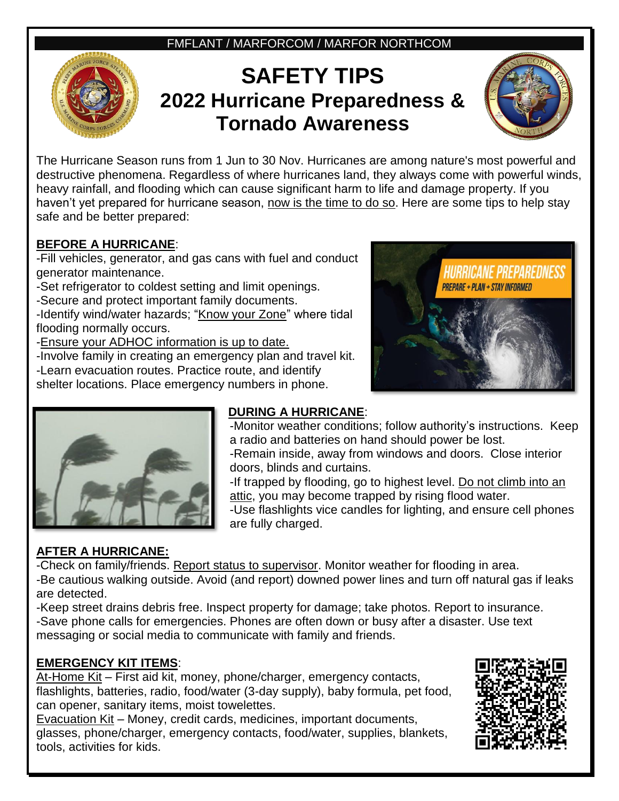FMFLANT / MARFORCOM / MARFOR NORTHCOM

# **SAFETY TIPS 2022 Hurricane Preparedness & Tornado Awareness**



The Hurricane Season runs from 1 Jun to 30 Nov. Hurricanes are among nature's most powerful and destructive phenomena. Regardless of where hurricanes land, they always come with powerful winds, heavy rainfall, and flooding which can cause significant harm to life and damage property. If you haven't yet prepared for hurricane season, now is the time to do so. Here are some tips to help stay safe and be better prepared:

#### **BEFORE A HURRICANE**:

-Fill vehicles, generator, and gas cans with fuel and conduct generator maintenance.

-Set refrigerator to coldest setting and limit openings.

-Secure and protect important family documents.

-Identify wind/water hazards; "Know your Zone" where tidal flooding normally occurs.

-Ensure your ADHOC information is up to date.

-Involve family in creating an emergency plan and travel kit. -Learn evacuation routes. Practice route, and identify shelter locations. Place emergency numbers in phone.





## **DURING A HURRICANE**:

-Monitor weather conditions; follow authority's instructions. Keep a radio and batteries on hand should power be lost. -Remain inside, away from windows and doors. Close interior doors, blinds and curtains.

-If trapped by flooding, go to highest level. Do not climb into an attic, you may become trapped by rising flood water.

-Use flashlights vice candles for lighting, and ensure cell phones are fully charged.

## **AFTER A HURRICANE:**

-Check on family/friends. Report status to supervisor. Monitor weather for flooding in area.

-Be cautious walking outside. Avoid (and report) downed power lines and turn off natural gas if leaks are detected.

-Keep street drains debris free. Inspect property for damage; take photos. Report to insurance. -Save phone calls for emergencies. Phones are often down or busy after a disaster. Use text messaging or social media to communicate with family and friends.

## **EMERGENCY KIT ITEMS**:

At-Home Kit – First aid kit, money, phone/charger, emergency contacts, flashlights, batteries, radio, food/water (3-day supply), baby formula, pet food, can opener, sanitary items, moist towelettes.

Evacuation Kit – Money, credit cards, medicines, important documents, glasses, phone/charger, emergency contacts, food/water, supplies, blankets, tools, activities for kids.